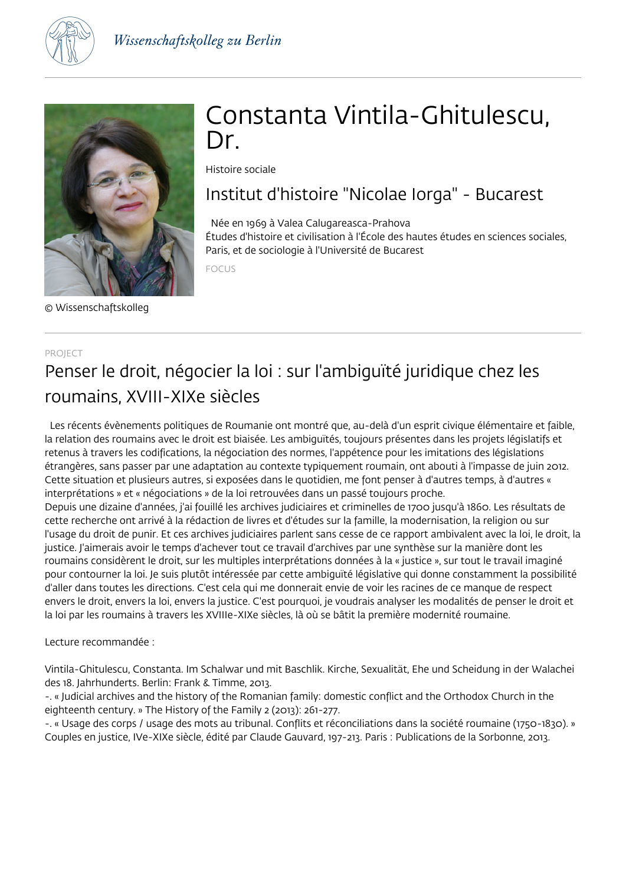



© Wissenschaftskolleg

# Constanta Vintila-Ghitulescu, Dr

Histoire sociale

## Institut d'histoire "Nicolae Iorga" - Bucarest

 Née en 1969 à Valea Calugareasca-Prahova Études d'histoire et civilisation à l'École des hautes études en sciences sociales, Paris, et de sociologie à l'Université de Bucarest

FOCUS

### PROJECT Penser le droit, négocier la loi : sur l'ambiguïté juridique chez les roumains, XVIII-XIXe siècles

 Les récents évènements politiques de Roumanie ont montré que, au-delà d'un esprit civique élémentaire et faible, la relation des roumains avec le droit est biaisée. Les ambiguïtés, toujours présentes dans les projets législatifs et retenus à travers les codifications, la négociation des normes, l'appétence pour les imitations des législations étrangères, sans passer par une adaptation au contexte typiquement roumain, ont abouti à l'impasse de juin 2012. Cette situation et plusieurs autres, si exposées dans le quotidien, me font penser à d'autres temps, à d'autres « interprétations » et « négociations » de la loi retrouvées dans un passé toujours proche.

Depuis une dizaine d'années, j'ai fouillé les archives judiciaires et criminelles de 1700 jusqu'à 1860. Les résultats de cette recherche ont arrivé à la rédaction de livres et d'études sur la famille, la modernisation, la religion ou sur l'usage du droit de punir. Et ces archives judiciaires parlent sans cesse de ce rapport ambivalent avec la loi, le droit, la justice. J'aimerais avoir le temps d'achever tout ce travail d'archives par une synthèse sur la manière dont les roumains considèrent le droit, sur les multiples interprétations données à la « justice », sur tout le travail imaginé pour contourner la loi. Je suis plutôt intéressée par cette ambiguïté législative qui donne constamment la possibilité d'aller dans toutes les directions. C'est cela qui me donnerait envie de voir les racines de ce manque de respect envers le droit, envers la loi, envers la justice. C'est pourquoi, je voudrais analyser les modalités de penser le droit et la loi par les roumains à travers les XVIIIe-XIXe siècles, là où se bâtit la première modernité roumaine.

#### Lecture recommandée :

Vintila-Ghitulescu, Constanta. Im Schalwar und mit Baschlik. Kirche, Sexualität, Ehe und Scheidung in der Walachei des 18. Jahrhunderts. Berlin: Frank & Timme, 2013.

-. « Judicial archives and the history of the Romanian family: domestic conflict and the Orthodox Church in the eighteenth century. » The History of the Family 2 (2013): 261-277.

-. « Usage des corps / usage des mots au tribunal. Conflits et réconciliations dans la société roumaine (1750-1830). » Couples en justice, IVe-XIXe siècle, édité par Claude Gauvard, 197-213. Paris : Publications de la Sorbonne, 2013.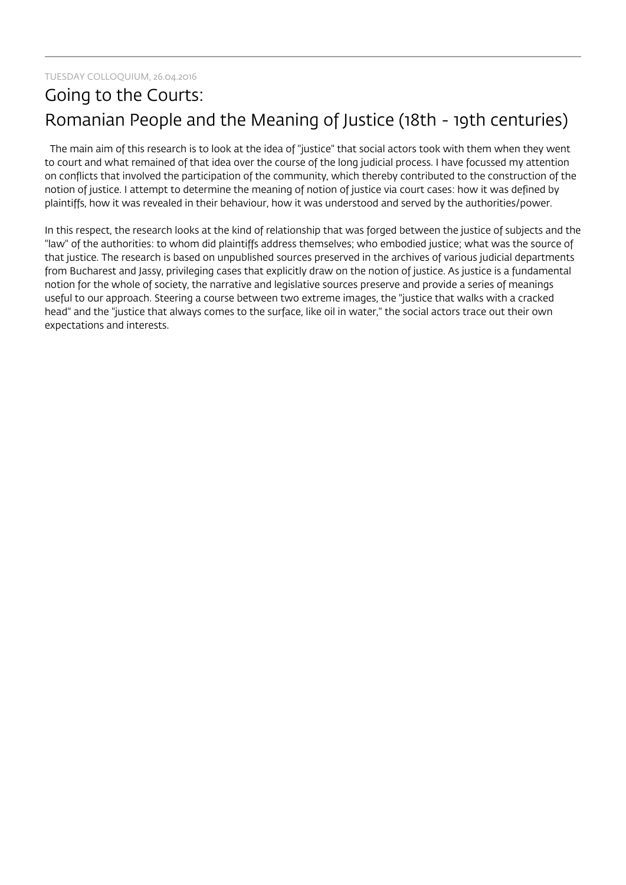## Going to the Courts: Romanian People and the Meaning of Justice (18th - 19th centuries)

 The main aim of this research is to look at the idea of "justice" that social actors took with them when they went to court and what remained of that idea over the course of the long judicial process. I have focussed my attention on conflicts that involved the participation of the community, which thereby contributed to the construction of the notion of justice. I attempt to determine the meaning of notion of justice via court cases: how it was defined by plaintiffs, how it was revealed in their behaviour, how it was understood and served by the authorities/power.

In this respect, the research looks at the kind of relationship that was forged between the justice of subjects and the "law" of the authorities: to whom did plaintiffs address themselves; who embodied justice; what was the source of that justice. The research is based on unpublished sources preserved in the archives of various judicial departments from Bucharest and Jassy, privileging cases that explicitly draw on the notion of justice. As justice is a fundamental notion for the whole of society, the narrative and legislative sources preserve and provide a series of meanings useful to our approach. Steering a course between two extreme images, the "justice that walks with a cracked head" and the "justice that always comes to the surface, like oil in water," the social actors trace out their own expectations and interests.